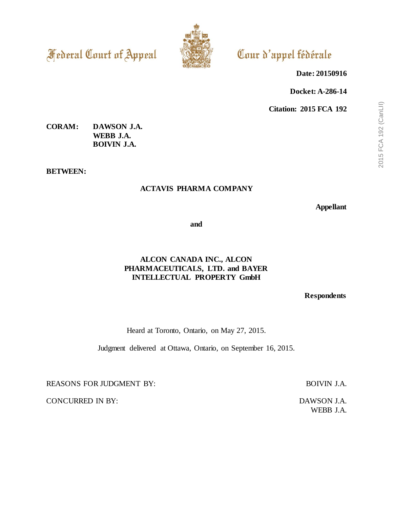**Federal Court of Appeal** 



# Cour d'appel fédérale

**Date: 20150916**

**Docket: A-286-14**

**Citation: 2015 FCA 192**

## **CORAM: DAWSON J.A. WEBB J.A. BOIVIN J.A.**

**BETWEEN:**

## **ACTAVIS PHARMA COMPANY**

**Appellant**

**and**

## **ALCON CANADA INC., ALCON PHARMACEUTICALS, LTD. and BAYER INTELLECTUAL PROPERTY GmbH**

**Respondents**

Heard at Toronto, Ontario, on May 27, 2015.

Judgment delivered at Ottawa, Ontario, on September 16, 2015.

REASONS FOR JUDGMENT BY: BOIVIN J.A.

CONCURRED IN BY: DAWSON J.A.

WEBB J.A.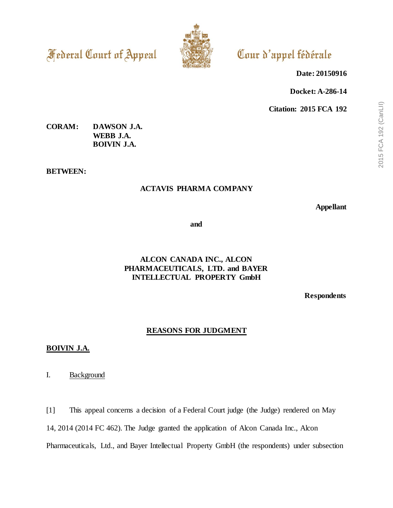**Federal Court of Appeal** 



# Cour d'appel fédérale

**Date: 20150916**

**Docket: A-286-14**

**Citation: 2015 FCA 192**

## **CORAM: DAWSON J.A. WEBB J.A. BOIVIN J.A.**

**BETWEEN:**

## **ACTAVIS PHARMA COMPANY**

**Appellant**

**and**

## **ALCON CANADA INC., ALCON PHARMACEUTICALS, LTD. and BAYER INTELLECTUAL PROPERTY GmbH**

**Respondents**

## **REASONS FOR JUDGMENT**

### **BOIVIN J.A.**

I. Background

[1] This appeal concerns a decision of a Federal Court judge (the Judge) rendered on May

14, 2014 (2014 FC 462). The Judge granted the application of Alcon Canada Inc., Alcon

Pharmaceuticals, Ltd., and Bayer Intellectual Property GmbH (the respondents) under subsection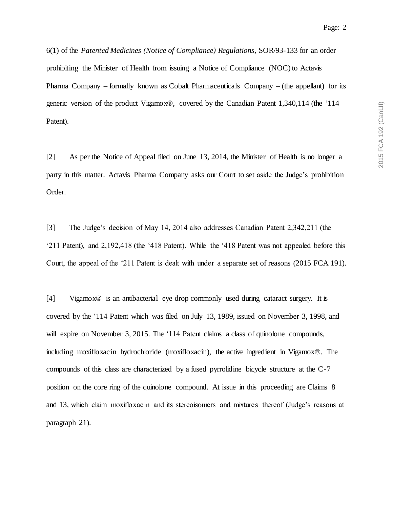6(1) of the *Patented Medicines (Notice of Compliance) Regulations*, SOR/93-133 for an order prohibiting the Minister of Health from issuing a Notice of Compliance (NOC) to Actavis Pharma Company – formally known as Cobalt Pharmaceuticals Company – (the appellant) for its generic version of the product Vigamox®, covered by the Canadian Patent 1,340,114 (the '114 Patent).

[2] As per the Notice of Appeal filed on June 13, 2014, the Minister of Health is no longer a party in this matter. Actavis Pharma Company asks our Court to set aside the Judge's prohibition Order.

[3] The Judge's decision of May 14, 2014 also addresses Canadian Patent 2,342,211 (the '211 Patent), and 2,192,418 (the '418 Patent). While the '418 Patent was not appealed before this Court, the appeal of the '211 Patent is dealt with under a separate set of reasons (2015 FCA 191).

[4] Vigamox® is an antibacterial eye drop commonly used during cataract surgery. It is covered by the '114 Patent which was filed on July 13, 1989, issued on November 3, 1998, and will expire on November 3, 2015. The '114 Patent claims a class of quinolone compounds, including moxifloxacin hydrochloride (moxifloxacin), the active ingredient in Vigamox®. The compounds of this class are characterized by a fused pyrrolidine bicycle structure at the C-7 position on the core ring of the quinolone compound. At issue in this proceeding are Claims 8 and 13, which claim moxifloxacin and its stereoisomers and mixtures thereof (Judge's reasons at paragraph 21).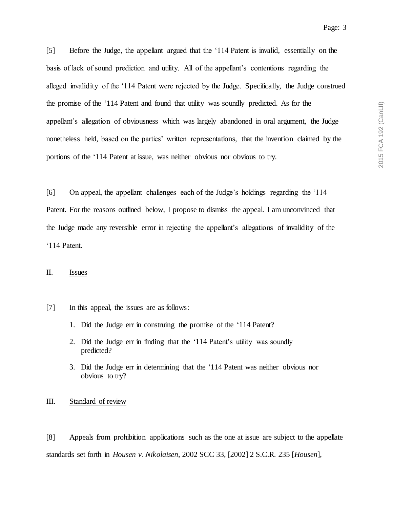[5] Before the Judge, the appellant argued that the '114 Patent is invalid, essentially on the basis of lack of sound prediction and utility. All of the appellant's contentions regarding the alleged invalidity of the '114 Patent were rejected by the Judge. Specifically, the Judge construed the promise of the '114 Patent and found that utility was soundly predicted. As for the appellant's allegation of obviousness which was largely abandoned in oral argument, the Judge nonetheless held, based on the parties' written representations, that the invention claimed by the portions of the '114 Patent at issue, was neither obvious nor obvious to try.

[6] On appeal, the appellant challenges each of the Judge's holdings regarding the '114 Patent. For the reasons outlined below, I propose to dismiss the appeal. I am unconvinced that the Judge made any reversible error in rejecting the appellant's allegations of invalidity of the '114 Patent.

### II. Issues

- [7] In this appeal, the issues are as follows:
	- 1. Did the Judge err in construing the promise of the '114 Patent?
	- 2. Did the Judge err in finding that the '114 Patent's utility was soundly predicted?
	- 3. Did the Judge err in determining that the '114 Patent was neither obvious nor obvious to try?

III. Standard of review

[8] Appeals from prohibition applications such as the one at issue are subject to the appellate standards set forth in *Housen v. Nikolaisen*, 2002 SCC 33, [2002] 2 S.C.R. 235 [*Housen*],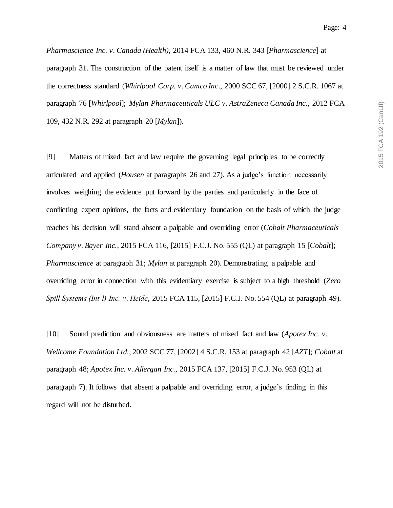*Pharmascience Inc. v. Canada (Health)*, 2014 FCA 133, 460 N.R. 343 [*Pharmascience*] at paragraph 31. The construction of the patent itself is a matter of law that must be reviewed under the correctness standard (*Whirlpool Corp. v. Camco Inc*., 2000 SCC 67, [2000] 2 S.C.R. 1067 at paragraph 76 [*Whirlpool*]; *Mylan Pharmaceuticals ULC v. AstraZeneca Canada Inc.,* 2012 FCA 109, 432 N.R. 292 at paragraph 20 [*Mylan*]).

[9] Matters of mixed fact and law require the governing legal principles to be correctly articulated and applied (*Housen* at paragraphs 26 and 27). As a judge's function necessarily involves weighing the evidence put forward by the parties and particularly in the face of conflicting expert opinions, the facts and evidentiary foundation on the basis of which the judge reaches his decision will stand absent a palpable and overriding error (*Cobalt Pharmaceuticals Company v. Bayer Inc.*, 2015 FCA 116, [2015] F.C.J. No. 555 (QL) at paragraph 15 [*Cobalt*]; *Pharmascience* at paragraph 31; *Mylan* at paragraph 20). Demonstrating a palpable and overriding error in connection with this evidentiary exercise is subject to a high threshold (*Zero Spill Systems (Int'l) Inc. v. Heide*, 2015 FCA 115, [2015] F.C.J. No. 554 (QL) at paragraph 49).

[10] Sound prediction and obviousness are matters of mixed fact and law (*Apotex Inc. v. Wellcome Foundation Ltd.*, 2002 SCC 77, [2002] 4 S.C.R. 153 at paragraph 42 [*AZT*]; *Cobalt* at paragraph 48; *Apotex Inc. v. Allergan Inc.*, 2015 FCA 137, [2015] F.C.J. No. 953 (QL) at paragraph 7). It follows that absent a palpable and overriding error, a judge's finding in this regard will not be disturbed.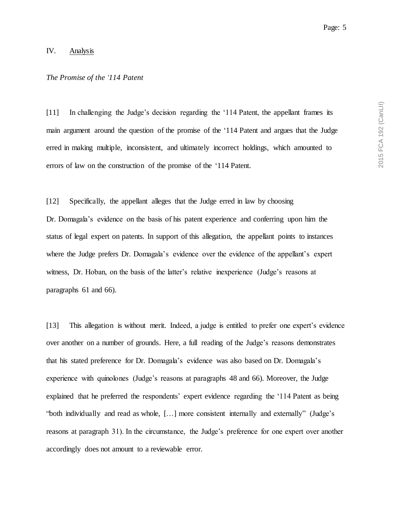#### IV. Analysis

#### *The Promise of the '114 Patent*

[11] In challenging the Judge's decision regarding the '114 Patent, the appellant frames its main argument around the question of the promise of the '114 Patent and argues that the Judge erred in making multiple, inconsistent, and ultimately incorrect holdings, which amounted to errors of law on the construction of the promise of the '114 Patent.

[12] Specifically, the appellant alleges that the Judge erred in law by choosing Dr. Domagala's evidence on the basis of his patent experience and conferring upon him the status of legal expert on patents. In support of this allegation, the appellant points to instances where the Judge prefers Dr. Domagala's evidence over the evidence of the appellant's expert witness, Dr. Hoban, on the basis of the latter's relative inexperience (Judge's reasons at paragraphs 61 and 66).

[13] This allegation is without merit. Indeed, a judge is entitled to prefer one expert's evidence over another on a number of grounds. Here, a full reading of the Judge's reasons demonstrates that his stated preference for Dr. Domagala's evidence was also based on Dr. Domagala's experience with quinolones (Judge's reasons at paragraphs 48 and 66). Moreover, the Judge explained that he preferred the respondents' expert evidence regarding the '114 Patent as being "both individually and read as whole, […] more consistent internally and externally" (Judge's reasons at paragraph 31). In the circumstance, the Judge's preference for one expert over another accordingly does not amount to a reviewable error.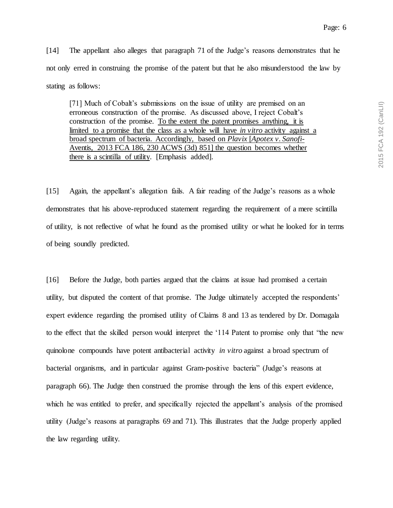[14] The appellant also alleges that paragraph 71 of the Judge's reasons demonstrates that he not only erred in construing the promise of the patent but that he also misunderstood the law by stating as follows:

[71] Much of Cobalt's submissions on the issue of utility are premised on an erroneous construction of the promise. As discussed above, I reject Cobalt's construction of the promise. To the extent the patent promises anything, it is limited to a promise that the class as a whole will have *in vitro* activity against a broad spectrum of bacteria. Accordingly, based on *Plavix* [*Apotex v. Sanofi-*Aventis, 2013 FCA 186, 230 ACWS (3d) 851] the question becomes whether there is a scintilla of utility. [Emphasis added].

[15] Again, the appellant's allegation fails. A fair reading of the Judge's reasons as a whole demonstrates that his above-reproduced statement regarding the requirement of a mere scintilla of utility, is not reflective of what he found as the promised utility or what he looked for in terms of being soundly predicted.

[16] Before the Judge, both parties argued that the claims at issue had promised a certain utility, but disputed the content of that promise. The Judge ultimately accepted the respondents' expert evidence regarding the promised utility of Claims 8 and 13 as tendered by Dr. Domagala to the effect that the skilled person would interpret the '114 Patent to promise only that "the new quinolone compounds have potent antibacterial activity *in vitro* against a broad spectrum of bacterial organisms, and in particular against Gram-positive bacteria" (Judge's reasons at paragraph 66). The Judge then construed the promise through the lens of this expert evidence, which he was entitled to prefer, and specifically rejected the appellant's analysis of the promised utility (Judge's reasons at paragraphs 69 and 71). This illustrates that the Judge properly applied the law regarding utility.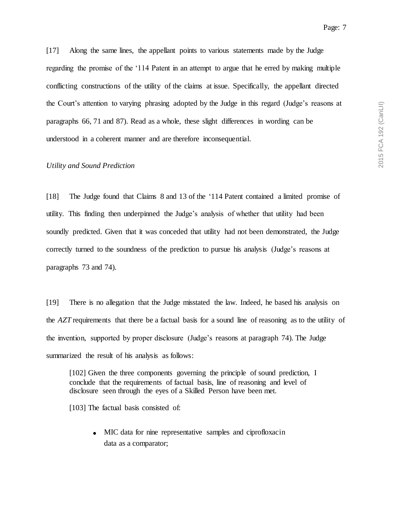[17] Along the same lines, the appellant points to various statements made by the Judge regarding the promise of the '114 Patent in an attempt to argue that he erred by making multiple conflicting constructions of the utility of the claims at issue. Specifically, the appellant directed the Court's attention to varying phrasing adopted by the Judge in this regard (Judge's reasons at paragraphs 66, 71 and 87). Read as a whole, these slight differences in wording can be understood in a coherent manner and are therefore inconsequential.

#### *Utility and Sound Prediction*

[18] The Judge found that Claims 8 and 13 of the '114 Patent contained a limited promise of utility. This finding then underpinned the Judge's analysis of whether that utility had been soundly predicted. Given that it was conceded that utility had not been demonstrated, the Judge correctly turned to the soundness of the prediction to pursue his analysis (Judge's reasons at paragraphs 73 and 74).

[19] There is no allegation that the Judge misstated the law. Indeed, he based his analysis on the *AZT* requirements that there be a factual basis for a sound line of reasoning as to the utility of the invention, supported by proper disclosure (Judge's reasons at paragraph 74). The Judge summarized the result of his analysis as follows:

[102] Given the three components governing the principle of sound prediction, I conclude that the requirements of factual basis, line of reasoning and level of disclosure seen through the eyes of a Skilled Person have been met.

[103] The factual basis consisted of:

**.** MIC data for nine representative samples and ciprofloxacin data as a comparator;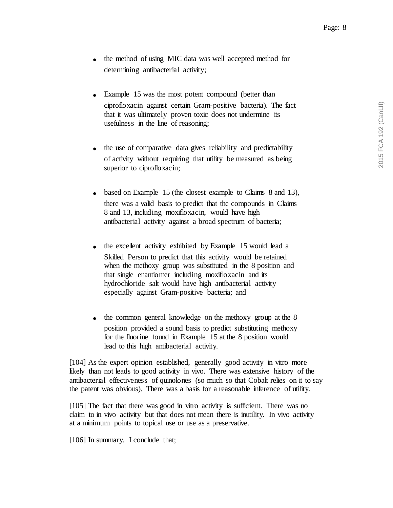- **.** the method of using MIC data was well accepted method for determining antibacterial activity;
- **.** Example 15 was the most potent compound (better than ciprofloxacin against certain Gram-positive bacteria). The fact that it was ultimately proven toxic does not undermine its usefulness in the line of reasoning;
- **.** the use of comparative data gives reliability and predictability of activity without requiring that utility be measured as being superior to ciprofloxacin;
- **.** based on Example 15 (the closest example to Claims 8 and 13), there was a valid basis to predict that the compounds in Claims 8 and 13, including moxifloxacin, would have high antibacterial activity against a broad spectrum of bacteria;
- the excellent activity exhibited by Example 15 would lead a Skilled Person to predict that this activity would be retained when the methoxy group was substituted in the 8 position and that single enantiomer including moxifloxacin and its hydrochloride salt would have high antibacterial activity especially against Gram-positive bacteria; and
- **.** the common general knowledge on the methoxy group at the 8 position provided a sound basis to predict substituting methoxy for the fluorine found in Example 15 at the 8 position would lead to this high antibacterial activity.

[104] As the expert opinion established, generally good activity in vitro more likely than not leads to good activity in vivo. There was extensive history of the antibacterial effectiveness of quinolones (so much so that Cobalt relies on it to say the patent was obvious). There was a basis for a reasonable inference of utility.

[105] The fact that there was good in vitro activity is sufficient. There was no claim to in vivo activity but that does not mean there is inutility. In vivo activity at a minimum points to topical use or use as a preservative.

[106] In summary, I conclude that;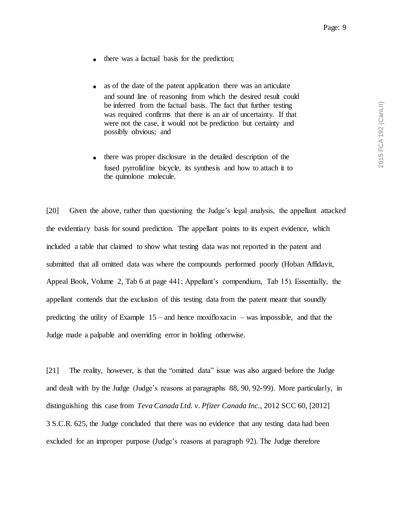- **.** there was a factual basis for the prediction;
- **.** as of the date of the patent application there was an articulate and sound line of reasoning from which the desired result could be inferred from the factual basis. The fact that further testing was required confirms that there is an air of uncertainty. If that were not the case, it would not be prediction but certainty and possibly obvious; and
- **.** there was proper disclosure in the detailed description of the fused pyrrolidine bicycle, its synthesis and how to attach it to the quinolone molecule.

[20] Given the above, rather than questioning the Judge's legal analysis, the appellant attacked the evidentiary basis for sound prediction. The appellant points to its expert evidence, which included a table that claimed to show what testing data was not reported in the patent and submitted that all omitted data was where the compounds performed poorly (Hoban Affidavit, Appeal Book, Volume 2, Tab 6 at page 441; Appellant's compendium, Tab 15). Essentially, the appellant contends that the exclusion of this testing data from the patent meant that soundly predicting the utility of Example  $15$  – and hence moxifloxacin – was impossible, and that the Judge made a palpable and overriding error in holding otherwise.

[21] The reality, however, is that the "omitted data" issue was also argued before the Judge and dealt with by the Judge (Judge's reasons at paragraphs 88, 90, 92-99). More particularly, in distinguishing this case from *Teva Canada Ltd. v. Pfizer Canada Inc.*, 2012 SCC 60, [2012] 3 S.C.R. 625, the Judge concluded that there was no evidence that any testing data had been excluded for an improper purpose (Judge's reasons at paragraph 92). The Judge therefore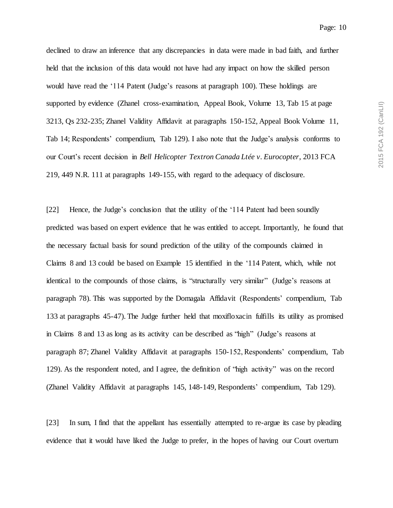declined to draw an inference that any discrepancies in data were made in bad faith, and further held that the inclusion of this data would not have had any impact on how the skilled person would have read the '114 Patent (Judge's reasons at paragraph 100). These holdings are supported by evidence (Zhanel cross-examination, Appeal Book, Volume 13, Tab 15 at page 3213, Qs 232-235; Zhanel Validity Affidavit at paragraphs 150-152, Appeal Book Volume 11, Tab 14; Respondents' compendium, Tab 129). I also note that the Judge's analysis conforms to our Court's recent decision in *Bell Helicopter Textron Canada Ltée v. Eurocopter*, 2013 FCA 219, 449 N.R. 111 at paragraphs 149-155, with regard to the adequacy of disclosure.

[22] Hence, the Judge's conclusion that the utility of the '114 Patent had been soundly predicted was based on expert evidence that he was entitled to accept. Importantly, he found that the necessary factual basis for sound prediction of the utility of the compounds claimed in Claims 8 and 13 could be based on Example 15 identified in the '114 Patent, which, while not identical to the compounds of those claims, is "structurally very similar" (Judge's reasons at paragraph 78). This was supported by the Domagala Affidavit (Respondents' compendium, Tab 133 at paragraphs 45-47). The Judge further held that moxifloxacin fulfills its utility as promised in Claims 8 and 13 as long as its activity can be described as "high" (Judge's reasons at paragraph 87; Zhanel Validity Affidavit at paragraphs 150-152, Respondents' compendium, Tab 129). As the respondent noted, and I agree, the definition of "high activity" was on the record (Zhanel Validity Affidavit at paragraphs 145, 148-149, Respondents' compendium, Tab 129).

[23] In sum, I find that the appellant has essentially attempted to re-argue its case by pleading evidence that it would have liked the Judge to prefer, in the hopes of having our Court overturn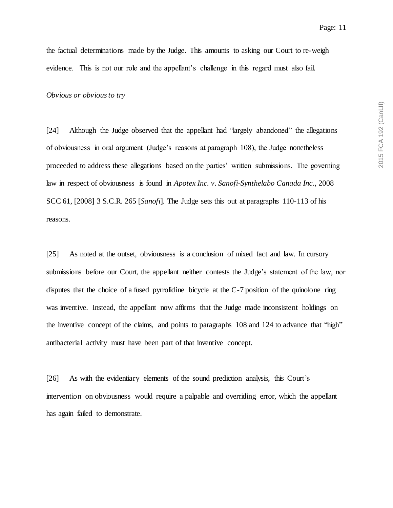the factual determinations made by the Judge. This amounts to asking our Court to re-weigh evidence. This is not our role and the appellant's challenge in this regard must also fail.

*Obvious or obvious to try*

[24] Although the Judge observed that the appellant had "largely abandoned" the allegations of obviousness in oral argument (Judge's reasons at paragraph 108), the Judge nonetheless proceeded to address these allegations based on the parties' written submissions. The governing law in respect of obviousness is found in *Apotex Inc. v. Sanofi-Synthelabo Canada Inc.*, 2008 SCC 61, [2008] 3 S.C.R. 265 [*Sanofi*]. The Judge sets this out at paragraphs 110-113 of his reasons.

[25] As noted at the outset, obviousness is a conclusion of mixed fact and law. In cursory submissions before our Court, the appellant neither contests the Judge's statement of the law, nor disputes that the choice of a fused pyrrolidine bicycle at the C-7 position of the quinolone ring was inventive. Instead, the appellant now affirms that the Judge made inconsistent holdings on the inventive concept of the claims, and points to paragraphs 108 and 124 to advance that "high" antibacterial activity must have been part of that inventive concept.

[26] As with the evidentiary elements of the sound prediction analysis, this Court's intervention on obviousness would require a palpable and overriding error, which the appellant has again failed to demonstrate.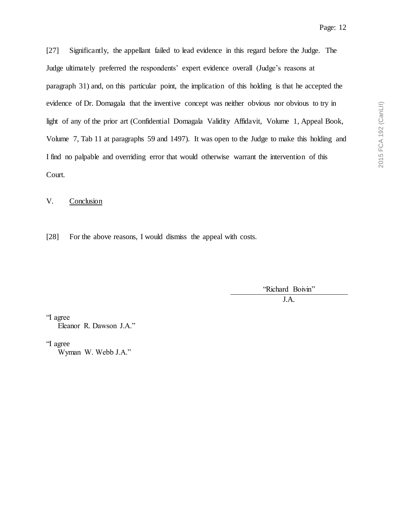[27] Significantly, the appellant failed to lead evidence in this regard before the Judge. The Judge ultimately preferred the respondents' expert evidence overall (Judge's reasons at paragraph 31) and, on this particular point, the implication of this holding is that he accepted the evidence of Dr. Domagala that the inventive concept was neither obvious nor obvious to try in light of any of the prior art (Confidential Domagala Validity Affidavit, Volume 1, Appeal Book, Volume 7, Tab 11 at paragraphs 59 and 1497). It was open to the Judge to make this holding and I find no palpable and overriding error that would otherwise warrant the intervention of this Court.

V. Conclusion

[28] For the above reasons, I would dismiss the appeal with costs.

'Richard Boivin" J.A.

"I agree Eleanor R. Dawson J.A."

"I agree

Wyman W. Webb J.A."